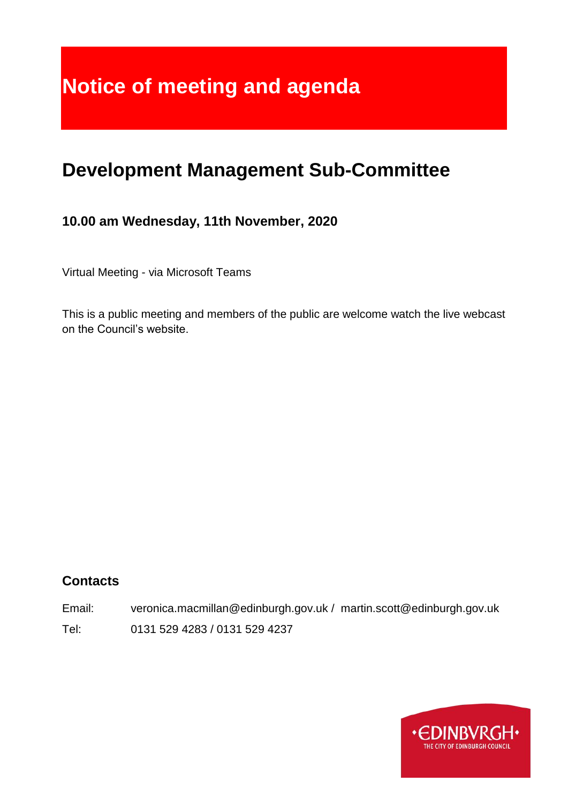# **Notice of meeting and agenda**

## **Development Management Sub-Committee**

## **10.00 am Wednesday, 11th November, 2020**

Virtual Meeting - via Microsoft Teams

This is a public meeting and members of the public are welcome watch the live webcast on the Council's website.

## **Contacts**

Email: veronica.macmillan@edinburgh.gov.uk / martin.scott@edinburgh.gov.uk Tel: 0131 529 4283 / 0131 529 4237

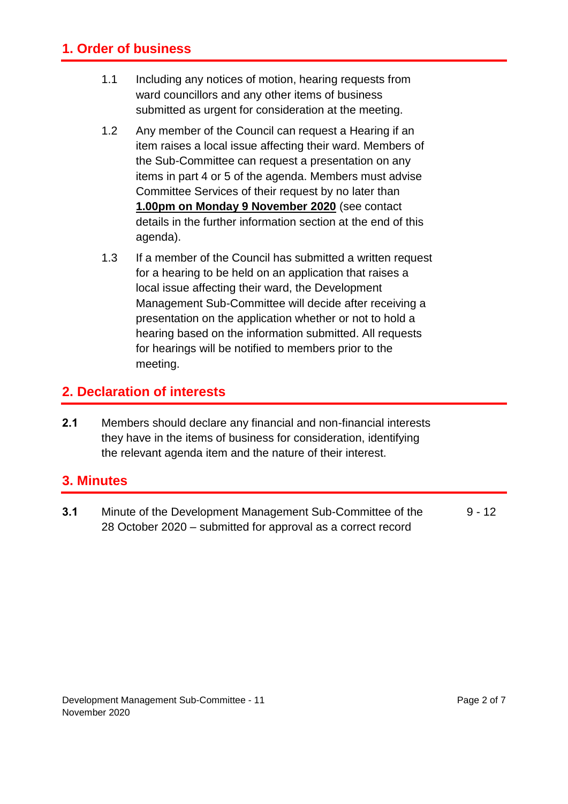## **1. Order of business**

- 1.1 Including any notices of motion, hearing requests from ward councillors and any other items of business submitted as urgent for consideration at the meeting.
- 1.2 Any member of the Council can request a Hearing if an item raises a local issue affecting their ward. Members of the Sub-Committee can request a presentation on any items in part 4 or 5 of the agenda. Members must advise Committee Services of their request by no later than **1.00pm on Monday 9 November 2020** (see contact details in the further information section at the end of this agenda).
- 1.3 If a member of the Council has submitted a written request for a hearing to be held on an application that raises a local issue affecting their ward, the Development Management Sub-Committee will decide after receiving a presentation on the application whether or not to hold a hearing based on the information submitted. All requests for hearings will be notified to members prior to the meeting.

## **2. Declaration of interests**

**2.1** Members should declare any financial and non-financial interests they have in the items of business for consideration, identifying the relevant agenda item and the nature of their interest.

#### **3. Minutes**

**3.1** Minute of the Development Management Sub-Committee of the 28 October 2020 – submitted for approval as a correct record  $9 - 12$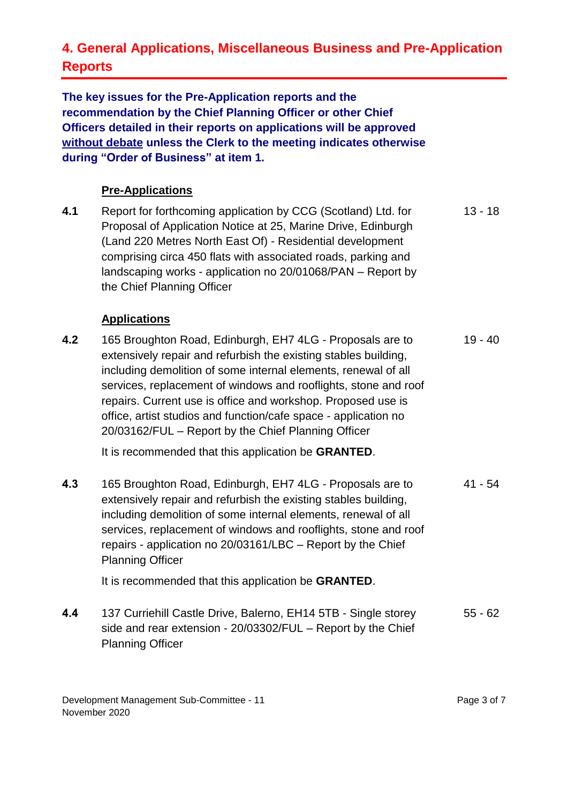## **4. General Applications, Miscellaneous Business and Pre-Application Reports**

**The key issues for the Pre-Application reports and the recommendation by the Chief Planning Officer or other Chief Officers detailed in their reports on applications will be approved without debate unless the Clerk to the meeting indicates otherwise during "Order of Business" at item 1.** 

#### **Pre-Applications**

**4.1** Report for forthcoming application by CCG (Scotland) Ltd. for Proposal of Application Notice at 25, Marine Drive, Edinburgh (Land 220 Metres North East Of) - Residential development comprising circa 450 flats with associated roads, parking and landscaping works - application no 20/01068/PAN – Report by the Chief Planning Officer 13 - 18

#### **Applications**

**4.2** 165 Broughton Road, Edinburgh, EH7 4LG - Proposals are to extensively repair and refurbish the existing stables building, including demolition of some internal elements, renewal of all services, replacement of windows and rooflights, stone and roof repairs. Current use is office and workshop. Proposed use is office, artist studios and function/cafe space - application no 20/03162/FUL – Report by the Chief Planning Officer 19 - 40

It is recommended that this application be **GRANTED**.

**4.3** 165 Broughton Road, Edinburgh, EH7 4LG - Proposals are to extensively repair and refurbish the existing stables building, including demolition of some internal elements, renewal of all services, replacement of windows and rooflights, stone and roof repairs - application no 20/03161/LBC – Report by the Chief Planning Officer 41 - 54

It is recommended that this application be **GRANTED**.

**4.4** 137 Curriehill Castle Drive, Balerno, EH14 5TB - Single storey side and rear extension - 20/03302/FUL – Report by the Chief Planning Officer 55 - 62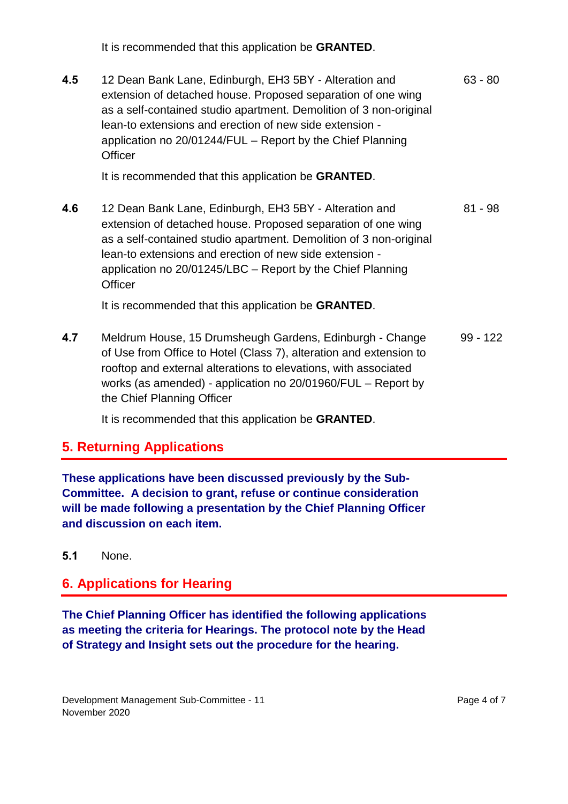It is recommended that this application be **GRANTED**.

**4.5** 12 Dean Bank Lane, Edinburgh, EH3 5BY - Alteration and extension of detached house. Proposed separation of one wing as a self-contained studio apartment. Demolition of 3 non-original lean-to extensions and erection of new side extension application no 20/01244/FUL – Report by the Chief Planning **Officer** 63 - 80

It is recommended that this application be **GRANTED**.

**4.6** 12 Dean Bank Lane, Edinburgh, EH3 5BY - Alteration and extension of detached house. Proposed separation of one wing as a self-contained studio apartment. Demolition of 3 non-original lean-to extensions and erection of new side extension application no 20/01245/LBC – Report by the Chief Planning **Officer** 81 - 98

It is recommended that this application be **GRANTED**.

**4.7** Meldrum House, 15 Drumsheugh Gardens, Edinburgh - Change of Use from Office to Hotel (Class 7), alteration and extension to rooftop and external alterations to elevations, with associated works (as amended) - application no 20/01960/FUL – Report by the Chief Planning Officer 99 - 122

It is recommended that this application be **GRANTED**.

## **5. Returning Applications**

**These applications have been discussed previously by the Sub-Committee. A decision to grant, refuse or continue consideration will be made following a presentation by the Chief Planning Officer and discussion on each item.**

#### **5.1** None.

#### **6. Applications for Hearing**

**The Chief Planning Officer has identified the following applications as meeting the criteria for Hearings. The protocol note by the Head of Strategy and Insight sets out the procedure for the hearing.**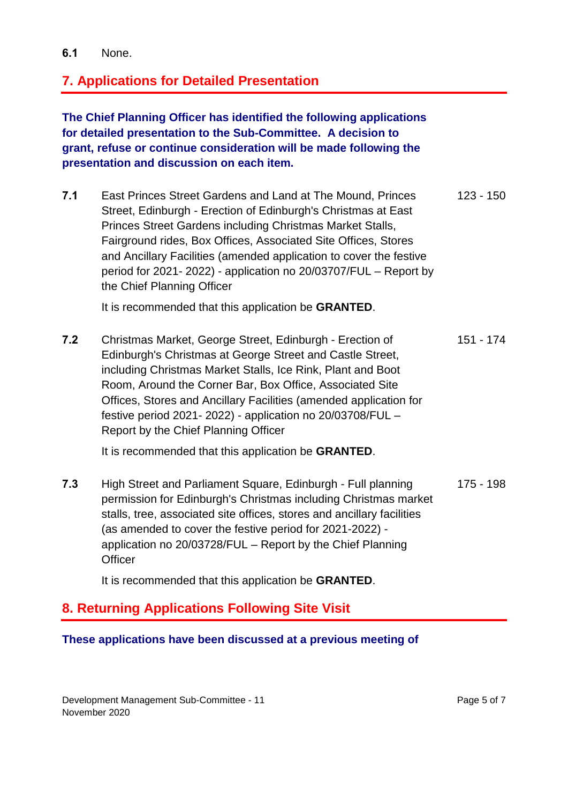## **7. Applications for Detailed Presentation**

**The Chief Planning Officer has identified the following applications for detailed presentation to the Sub-Committee. A decision to grant, refuse or continue consideration will be made following the presentation and discussion on each item.**

**7.1** East Princes Street Gardens and Land at The Mound, Princes Street, Edinburgh - Erection of Edinburgh's Christmas at East Princes Street Gardens including Christmas Market Stalls, Fairground rides, Box Offices, Associated Site Offices, Stores and Ancillary Facilities (amended application to cover the festive period for 2021- 2022) - application no 20/03707/FUL – Report by the Chief Planning Officer 123 - 150

It is recommended that this application be **GRANTED**.

**7.2** Christmas Market, George Street, Edinburgh - Erection of Edinburgh's Christmas at George Street and Castle Street, including Christmas Market Stalls, Ice Rink, Plant and Boot Room, Around the Corner Bar, Box Office, Associated Site Offices, Stores and Ancillary Facilities (amended application for festive period 2021- 2022) - application no 20/03708/FUL – Report by the Chief Planning Officer 151 - 174

It is recommended that this application be **GRANTED**.

**7.3** High Street and Parliament Square, Edinburgh - Full planning permission for Edinburgh's Christmas including Christmas market stalls, tree, associated site offices, stores and ancillary facilities (as amended to cover the festive period for 2021-2022) application no 20/03728/FUL – Report by the Chief Planning **Officer** 175 - 198

It is recommended that this application be **GRANTED**.

## **8. Returning Applications Following Site Visit**

#### **These applications have been discussed at a previous meeting of**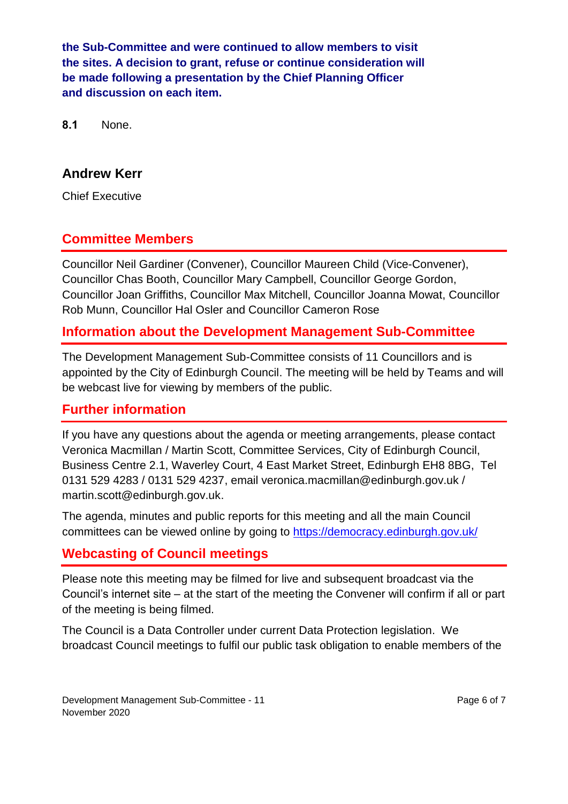**the Sub-Committee and were continued to allow members to visit the sites. A decision to grant, refuse or continue consideration will be made following a presentation by the Chief Planning Officer and discussion on each item.**

**8.1** None.

## **Andrew Kerr**

Chief Executive

## **Committee Members**

Councillor Neil Gardiner (Convener), Councillor Maureen Child (Vice-Convener), Councillor Chas Booth, Councillor Mary Campbell, Councillor George Gordon, Councillor Joan Griffiths, Councillor Max Mitchell, Councillor Joanna Mowat, Councillor Rob Munn, Councillor Hal Osler and Councillor Cameron Rose

## **Information about the Development Management Sub-Committee**

The Development Management Sub-Committee consists of 11 Councillors and is appointed by the City of Edinburgh Council. The meeting will be held by Teams and will be webcast live for viewing by members of the public.

#### **Further information**

If you have any questions about the agenda or meeting arrangements, please contact Veronica Macmillan / Martin Scott, Committee Services, City of Edinburgh Council, Business Centre 2.1, Waverley Court, 4 East Market Street, Edinburgh EH8 8BG, Tel 0131 529 4283 / 0131 529 4237, email veronica.macmillan@edinburgh.gov.uk / martin.scott@edinburgh.gov.uk.

The agenda, minutes and public reports for this meeting and all the main Council committees can be viewed online by going to<https://democracy.edinburgh.gov.uk/>

## **Webcasting of Council meetings**

Please note this meeting may be filmed for live and subsequent broadcast via the Council's internet site – at the start of the meeting the Convener will confirm if all or part of the meeting is being filmed.

The Council is a Data Controller under current Data Protection legislation. We broadcast Council meetings to fulfil our public task obligation to enable members of the